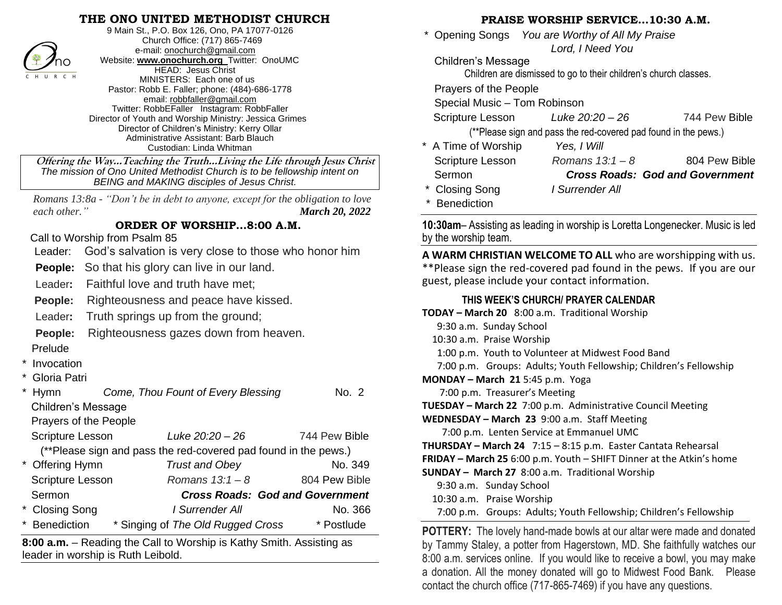## **THE ONO UNITED METHODIST CHURCH**



9 Main St., P.O. Box 126, Ono, PA 17077-0126 Church Office: (717) 865-7469 e-mail[: onochurch@gmail.com](mailto:onochurch@gmail.com) Website: **[www.onochurch.org](http://www.onochurch.org/)** Twitter: OnoUMC HEAD: Jesus Christ MINISTERS: Each one of us Pastor: Robb E. Faller; phone: (484)-686-1778 email: [robbfaller@gmail.com](mailto:robbfaller@gmail.com) Twitter: RobbEFaller Instagram: RobbFaller Director of Youth and Worship Ministry: Jessica Grimes Director of Children's Ministry: Kerry Ollar Administrative Assistant: Barb Blauch Custodian: Linda Whitman

 **Offering the Way…Teaching the Truth…Living the Life through Jesus Christ** *The mission of Ono United Methodist Church is to be fellowship intent on BEING and MAKING disciples of Jesus Christ.* 

 *Romans 13:8a - "Don't be in debt to anyone, except for the obligation to love each other." March 20, 2022* 

### **ORDER OF WORSHIP…8:00 A.M.**

Call to Worship from Psalm 85

Leader: God's salvation is very close to those who honor him

**People:** So that his glory can live in our land.

Leader**:** Faithful love and truth have met;

**People:** Righteousness and peace have kissed.

Leader**:** Truth springs up from the ground;

**People:** Righteousness gazes down from heaven.

- Prelude
- **Invocation**
- Gloria Patri

|                                                                 | <b>Hymn</b>               | Come, Thou Fount of Every Blessing     | No. 2         |  |
|-----------------------------------------------------------------|---------------------------|----------------------------------------|---------------|--|
|                                                                 | <b>Children's Message</b> |                                        |               |  |
|                                                                 | Prayers of the People     |                                        |               |  |
|                                                                 | <b>Scripture Lesson</b>   | Luke 20:20 - 26                        | 744 Pew Bible |  |
| (**Please sign and pass the red-covered pad found in the pews.) |                           |                                        |               |  |
|                                                                 | * Offering Hymn           | <b>Trust and Obey</b>                  | No. 349       |  |
|                                                                 | <b>Scripture Lesson</b>   | Romans $13:1 - 8$                      | 804 Pew Bible |  |
|                                                                 | Sermon                    | <b>Cross Roads: God and Government</b> |               |  |
|                                                                 | * Closing Song            | I Surrender All                        | No. 366       |  |
|                                                                 | <b>Benediction</b>        | * Singing of The Old Rugged Cross      | * Postlude    |  |

**8:00 a.m.** – Reading the Call to Worship is Kathy Smith. Assisting as leader in worship is Ruth Leibold. 

#### **PRAISE WORSHIP SERVICE…10:30 A.M.**

 \* Opening Songs *You are Worthy of All My Praise Lord, I Need You* 

Children's Message

Children are dismissed to go to their children's church classes.

Prayers of the People

Special Music – Tom Robinson

Scripture Lesson *Luke 20:20 – 26* 744 Pew Bible (\*\*Please sign and pass the red-covered pad found in the pews.)

| * A Time of Worship     | Yes, I Will       |                                        |
|-------------------------|-------------------|----------------------------------------|
| <b>Scripture Lesson</b> | Romans $13:1 - 8$ | 804 Pew Bible                          |
| Sermon                  |                   | <b>Cross Roads: God and Government</b> |
| * Closing Song          | I Surrender All   |                                        |
| * Benediction           |                   |                                        |

**10:30am**– Assisting as leading in worship is Loretta Longenecker. Music is led by the worship team.

**A WARM CHRISTIAN WELCOME TO ALL** who are worshipping with us. \*\*Please sign the red-covered pad found in the pews. If you are our guest, please include your contact information.

#### **THIS WEEK'S CHURCH/ PRAYER CALENDAR**

| TODAY - March 20 8:00 a.m. Traditional Worship                                 |
|--------------------------------------------------------------------------------|
| 9:30 a.m. Sunday School                                                        |
| 10:30 a.m. Praise Worship                                                      |
| 1:00 p.m. Youth to Volunteer at Midwest Food Band                              |
| 7:00 p.m. Groups: Adults; Youth Fellowship; Children's Fellowship              |
| MONDAY - March 21 5:45 p.m. Yoga                                               |
| 7:00 p.m. Treasurer's Meeting                                                  |
| <b>TUESDAY – March 22</b> 7:00 p.m. Administrative Council Meeting             |
| WEDNESDAY - March 23 9:00 a.m. Staff Meeting                                   |
| 7:00 p.m. Lenten Service at Emmanuel UMC                                       |
| THURSDAY - March 24 7:15 - 8:15 p.m. Easter Cantata Rehearsal                  |
| FRIDAY - March 25 6:00 p.m. Youth - SHIFT Dinner at the Atkin's home           |
| SUNDAY - March 27 8:00 a.m. Traditional Worship                                |
| 9:30 a.m. Sunday School                                                        |
| 10:30 a.m. Praise Worship                                                      |
| 7:00 p.m. Groups: Adults; Youth Fellowship; Children's Fellowship              |
| <b>DATTEBV</b> . The length lead are delegated and alternative and a cool deal |

**POTTERY:** The lovely hand-made bowls at our altar were made and donated by Tammy Staley, a potter from Hagerstown, MD. She faithfully watches our 8:00 a.m. services online. If you would like to receive a bowl, you may make a donation. All the money donated will go to Midwest Food Bank. Please contact the church office (717-865-7469) if you have any questions.